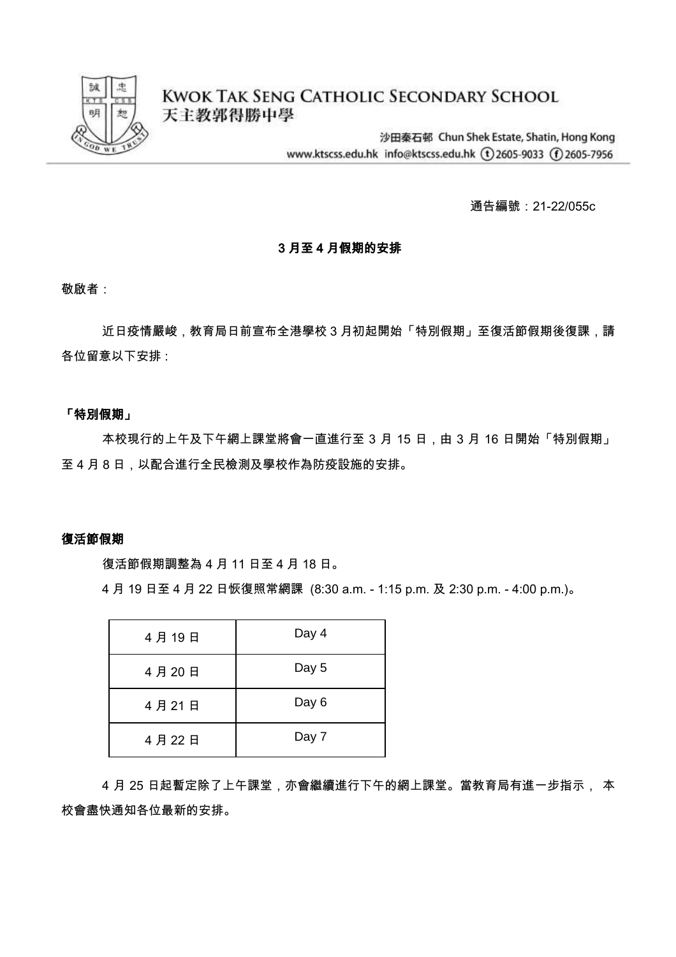

**KWOK TAK SENG CATHOLIC SECONDARY SCHOOL** 天主教郭得勝中學

> 沙田秦石邨 Chun Shek Estate, Shatin, Hong Kong www.ktscss.edu.hk info@ktscss.edu.hk (t)2605-9033 (f)2605-7956

> > 通告編號:21-22/055c

#### 3 月至 4 月假期的安排

敬啟者:

近日疫情嚴峻,教育局日前宣布全港學校 3 月初起開始「特別假期」至復活節假期後復課,請 各位留意以下安排 :

## 「特別假期」

本校現行的上午及下午網上課堂將會一直進行至 3 月 15 日,由 3 月 16 日開始「特別假期」 至 4 月 8 日,以配合進行全民檢測及學校作為防疫設施的安排。

#### 復活節假期

復活節假期調整為 4 月 11 日至 4 月 18 日。

4 月 19 日至 4 月 22 日恢復照常網課 (8:30 a.m. - 1:15 p.m. 及 2:30 p.m. - 4:00 p.m.)。

| 4月19日 | Day 4 |
|-------|-------|
| 4月20日 | Day 5 |
| 4月21日 | Day 6 |
| 4月22日 | Day 7 |

4 月 25 日起暫定除了上午課堂,亦會繼續進行下午的網上課堂。當教育局有進一步指示, 本 校會盡快通知各位最新的安排。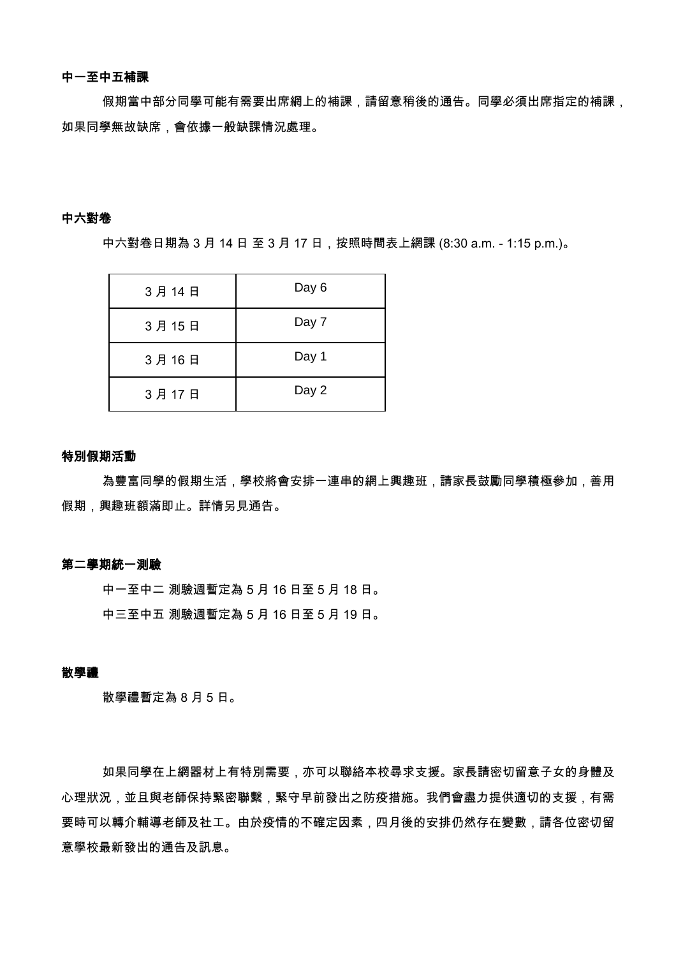#### 中一至中五補課

假期當中部分同學可能有需要出席網上的補課,請留意稍後的通告。同學必須出席指定的補課, 如果同學無故缺席,會依據一般缺課情況處理。

#### 中六對卷

中六對卷日期為 3 月 14 日 至 3 月 17 日,按照時間表上網課 (8:30 a.m. - 1:15 p.m.)。

| 3月14日 | Day 6 |
|-------|-------|
| 3月15日 | Day 7 |
| 3月16日 | Day 1 |
| 3月17日 | Day 2 |

# 特別假期活動

為豐富同學的假期生活,學校將會安排一連串的網上興趣班,請家長鼓勵同學積極參加,善用 假期,興趣班額滿即止。詳情另見通告。

#### 第二學期統一測驗

中一至中二 測驗週暫定為 5 月 16 日至 5 月 18 日。 中三至中五 測驗週暫定為 5 月 16 日至 5 月 19 日。

#### 散學禮

散學禮暫定為 8 月 5 日。

如果同學在上網器材上有特別需要,亦可以聯絡本校尋求支援。家長請密切留意子女的身體及 心理狀況,並且與老師保持緊密聯繫,緊守早前發出之防疫措施。我們會盡力提供適切的支援,有需 要時可以轉介輔導老師及社工。由於疫情的不確定因素,四月後的安排仍然存在變數,請各位密切留 意學校最新發出的通告及訊息。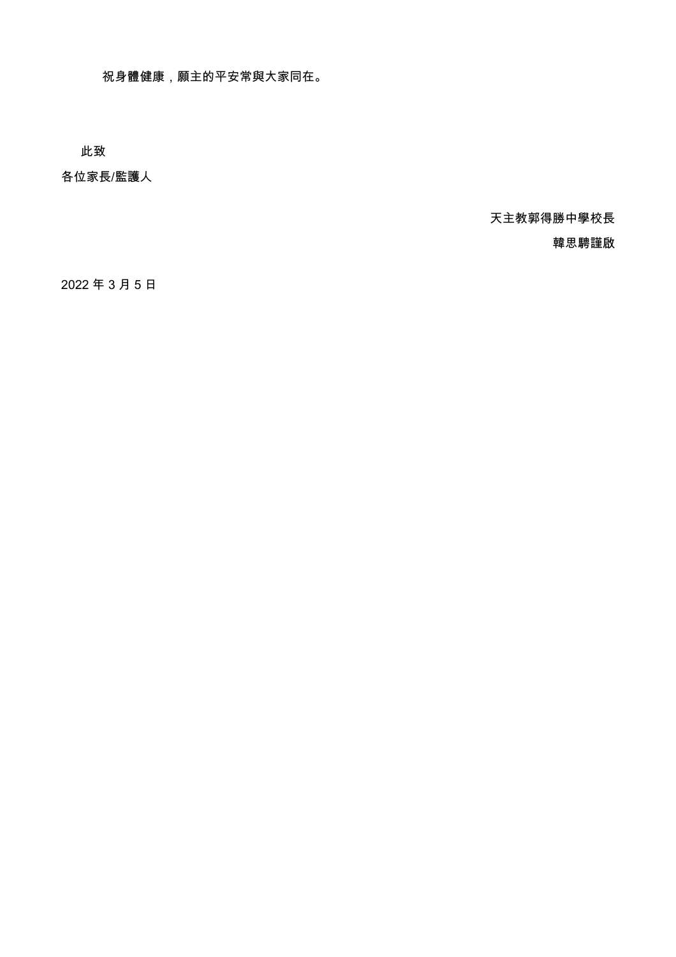祝身體健康,願主的平安常與大家同在。

此致

各位家長/監護人

天主教郭得勝中學校長

韓思騁謹啟

2022 年 3 月 5 日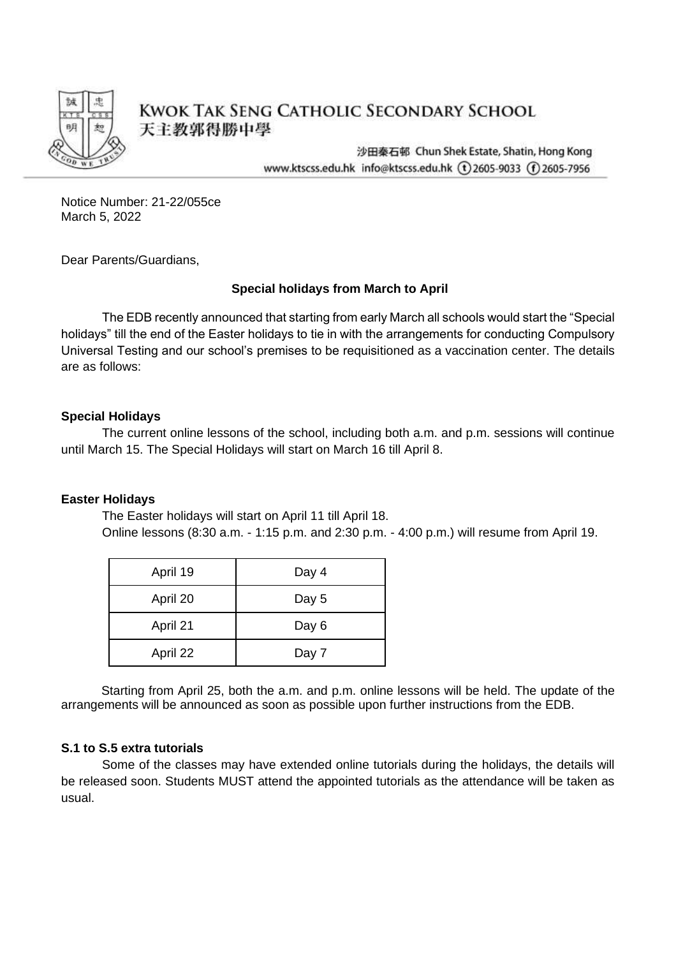

# **KWOK TAK SENG CATHOLIC SECONDARY SCHOOL** 天主教郭得勝中學

沙田秦石邨 Chun Shek Estate, Shatin, Hong Kong www.ktscss.edu.hk info@ktscss.edu.hk (t)2605-9033 (f)2605-7956

Notice Number: 21-22/055ce March 5, 2022

Dear Parents/Guardians,

## **Special holidays from March to April**

The EDB recently announced that starting from early March all schools would start the "Special holidays" till the end of the Easter holidays to tie in with the arrangements for conducting Compulsory Universal Testing and our school's premises to be requisitioned as a vaccination center. The details are as follows:

## **Special Holidays**

The current online lessons of the school, including both a.m. and p.m. sessions will continue until March 15. The Special Holidays will start on March 16 till April 8.

## **Easter Holidays**

The Easter holidays will start on April 11 till April 18. Online lessons (8:30 a.m. - 1:15 p.m. and 2:30 p.m. - 4:00 p.m.) will resume from April 19.

| April 19 | Day 4 |
|----------|-------|
| April 20 | Day 5 |
| April 21 | Day 6 |
| April 22 | Day 7 |

Starting from April 25, both the a.m. and p.m. online lessons will be held. The update of the arrangements will be announced as soon as possible upon further instructions from the EDB.

## **S.1 to S.5 extra tutorials**

Some of the classes may have extended online tutorials during the holidays, the details will be released soon. Students MUST attend the appointed tutorials as the attendance will be taken as usual.